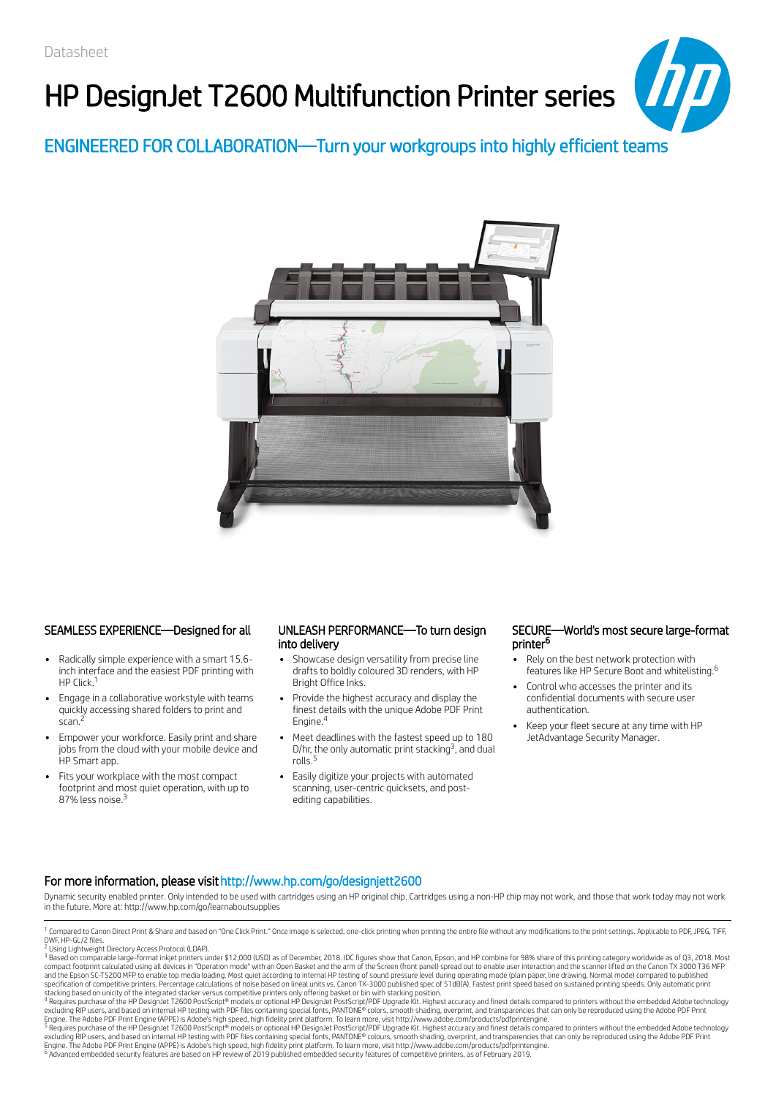# HP DesignJet T2600 Multifunction Printer series



ENGINEERED FOR COLLABORATION—Turn your workgroups into highly efficient teams



### SEAMLESS EXPERIENCE—Designed for all UNLEASH PERFORMANCE—To turn design

- Radically simple experience with a smart 15.6 inch interface and the easiest PDF printing with HP Click.<sup>1</sup>
- Engage in a collaborative workstyle with teams quickly accessing shared folders to print and scan.
- Empower your workforce. Easily print and share jobs from the cloud with your mobile device and HP Smart app.
- Fits your workplace with the most compact footprint and most quiet operation, with up to 87% less noise.<sup>3</sup>

## into delivery

- Showcase design versatility from precise line drafts to boldly coloured 3D renders, with HP Bright Office Inks.
- Provide the highest accuracy and display the finest details with the unique Adobe PDF Print Engine.<sup>4</sup>
- Meet deadlines with the fastest speed up to 180 D/hr, the only automatic print stacking<sup>3</sup>, and dual rolls.
- Easily digitize your projects with automated scanning, user-centric quicksets, and postediting capabilities.

### SECURE—World's most secure large-format printer<sup>6</sup>

- Rely on the best network protection with features like HP Secure Boot and whitelisting. 6
- Control who accesses the printer and its confidential documents with secure user authentication.
- Keep your fleet secure at any time with HP JetAdvantage Security Manager.

### For more information, please visithttp://www.hp.com/go/designjett2600

Dynamic security enabled printer. Only intended to be used with cartridges using an HP original chip. Cartridges using a non-HP chip may not work, and those that work today may not work in the future. More at: http://www.hp.com/go/learnaboutsupplies

excluding RIP users, and based on internal HP testing with PDF files containing special fonts, PANTONE® colors, smooth shading, overprint, and transparencies that can only be reproduced using the Adobe PDF Print<br>Engine. Th <sup>6</sup> Advanced embedded security features are based on HP review of 2019 published embedded security features of competitive printers, as of February 2019. 5

<sup>&</sup>lt;sup>1</sup> Compared to Canon Direct Print & Share and based on "One Click Print." Once image is selected, one-click printing when printing the entire file without any modifications to the print settings. Applicable to PDF, JPEG,

<sup>&</sup>lt;sup>2</sup> Using Lightweight Directory Access Protocol (LDAP).

 $^3$  Based on comparable large-format inkjet printers under \$12,000 (USD) as of December, 2018. IDC figures show that Canon, Epson, and HP combine for 98% share of this printing category worldwide as of Q3, 2018. Most compact footprint calculated using all devices in "Operation mode" with an Open Basket and the arm of the Screen (front panel) spread out to enable user interaction and the scanner lifted on the Canon TX 3000 T36 MFP<br>and t

stacking based on unicity of the integrated stacker versus competitive printers only offering basket or bin with stacking position.<br><sup>4</sup> Requires purchase of the HP DesignJet T2600 PostScript® models or optional HP DesignJe